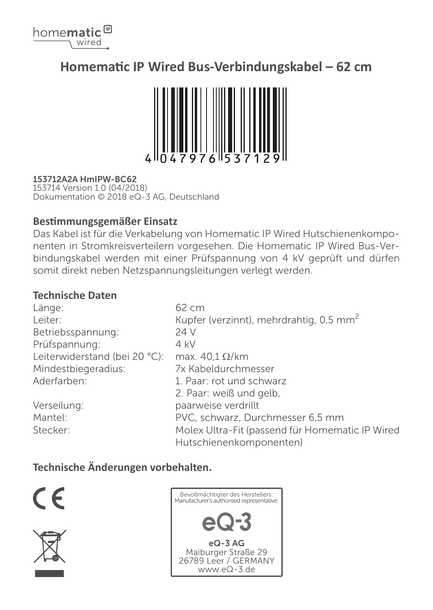

# **Homematic IP Wired Bus-Verbindungskabel – 62 cm**



## 153712A2A HmIPW-BC62

153714 Version 1.0 (04/2018) Dokumentation © 2018 eQ-3 AG, Deutschland

## **Bestimmungsgemäßer Einsatz**

Das Kabel ist für die Verkabelung von Homematic IP Wired Hutschienenkomponenten in Stromkreisverteilern vorgesehen. Die Homematic IP Wired Bus-Verbindungskabel werden mit einer Prüfspannung von 4 kV geprüft und dürfen somit direkt neben Netzspannungsleitungen verlegt werden.

## **Technische Daten**

| Länge:                        | 62 cm                                               |
|-------------------------------|-----------------------------------------------------|
| Leiter:                       | Kupfer (verzinnt), mehrdrahtig, 0,5 mm <sup>2</sup> |
| Betriebsspannung:             | 24 V                                                |
| Prüfspannung:                 | 4 kV                                                |
| Leiterwiderstand (bei 20 °C): | max. $40.1 \Omega/km$                               |
| Mindestbiegeradius:           | 7x Kabeldurchmesser                                 |
| Aderfarben:                   | 1. Paar: rot und schwarz                            |
|                               | 2. Paar: weiß und gelb,                             |
| Verseilung:                   | paarweise verdrillt                                 |
| Mantel:                       | PVC, schwarz, Durchmesser 6,5 mm                    |
| Stecker:                      | Molex Ultra-Fit (passend für Homematic IP Wired     |
|                               | Hutschienenkomponenten)                             |

## **Technische Änderungen vorbehalten.**